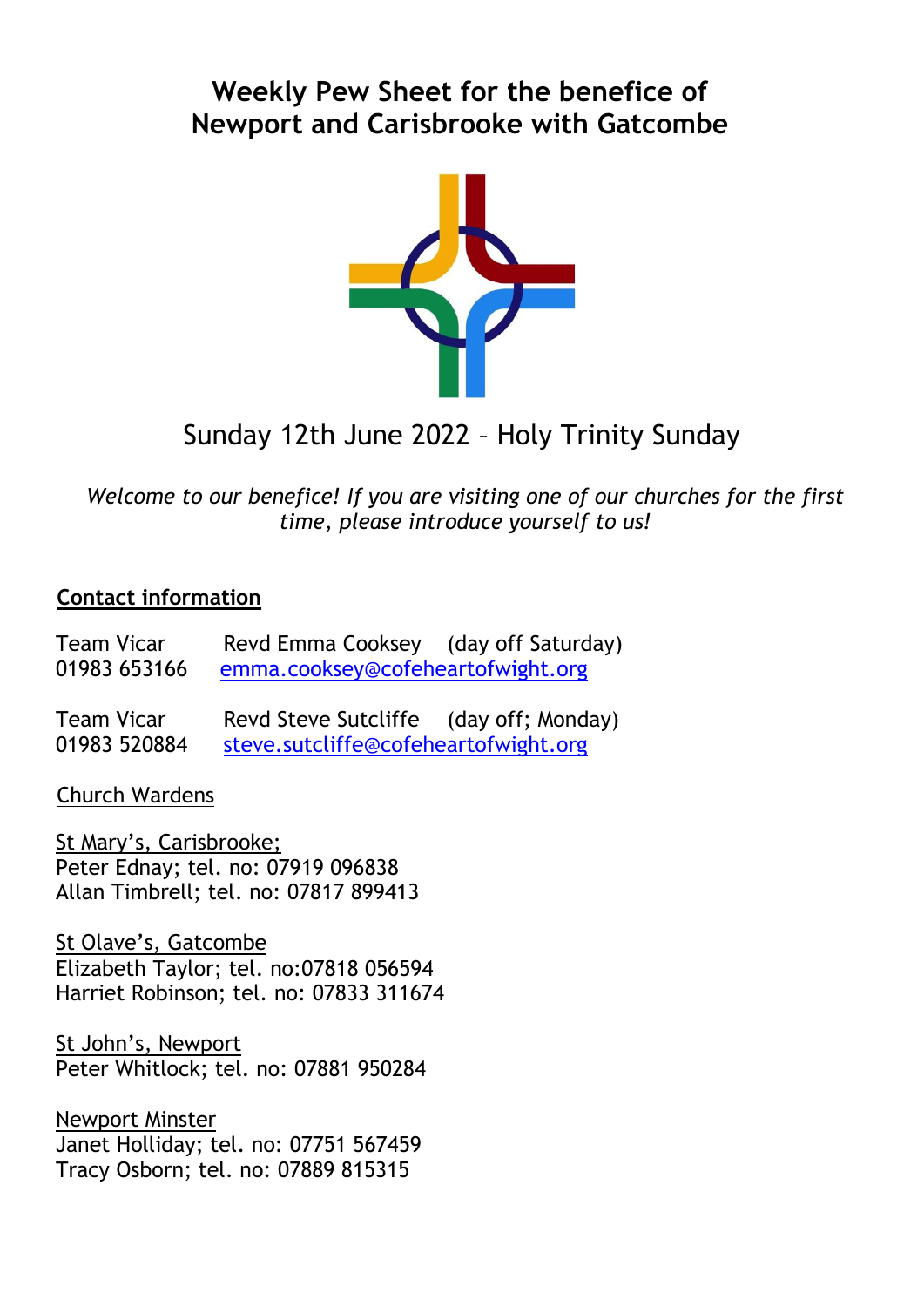## **Weekly Pew Sheet for the benefice of Newport and Carisbrooke with Gatcombe**



# Sunday 12th June 2022 – Holy Trinity Sunday

*Welcome to our benefice! If you are visiting one of our churches for the first time, please introduce yourself to us!*

#### **Contact information**

Team Vicar Revd Emma Cooksey (day off Saturday) 01983 653166 [emma.cooksey@cofeheartofwight.org](mailto:emma.cooksey@cofeheartofwight.org)

Team Vicar Revd Steve Sutcliffe (day off; Monday) 01983 520884 [steve.sutcliffe@cofeheartofwight.org](mailto:steve.sutcliffe@cofeheartofwight.org)

Church Wardens

St Mary's, Carisbrooke; Peter Ednay; tel. no: 07919 096838 Allan Timbrell; tel. no: 07817 899413

St Olave's, Gatcombe Elizabeth Taylor; tel. no:07818 056594 Harriet Robinson; tel. no: 07833 311674

St John's, Newport Peter Whitlock; tel. no: 07881 950284

Newport Minster Janet Holliday; tel. no: 07751 567459 Tracy Osborn; tel. no: 07889 815315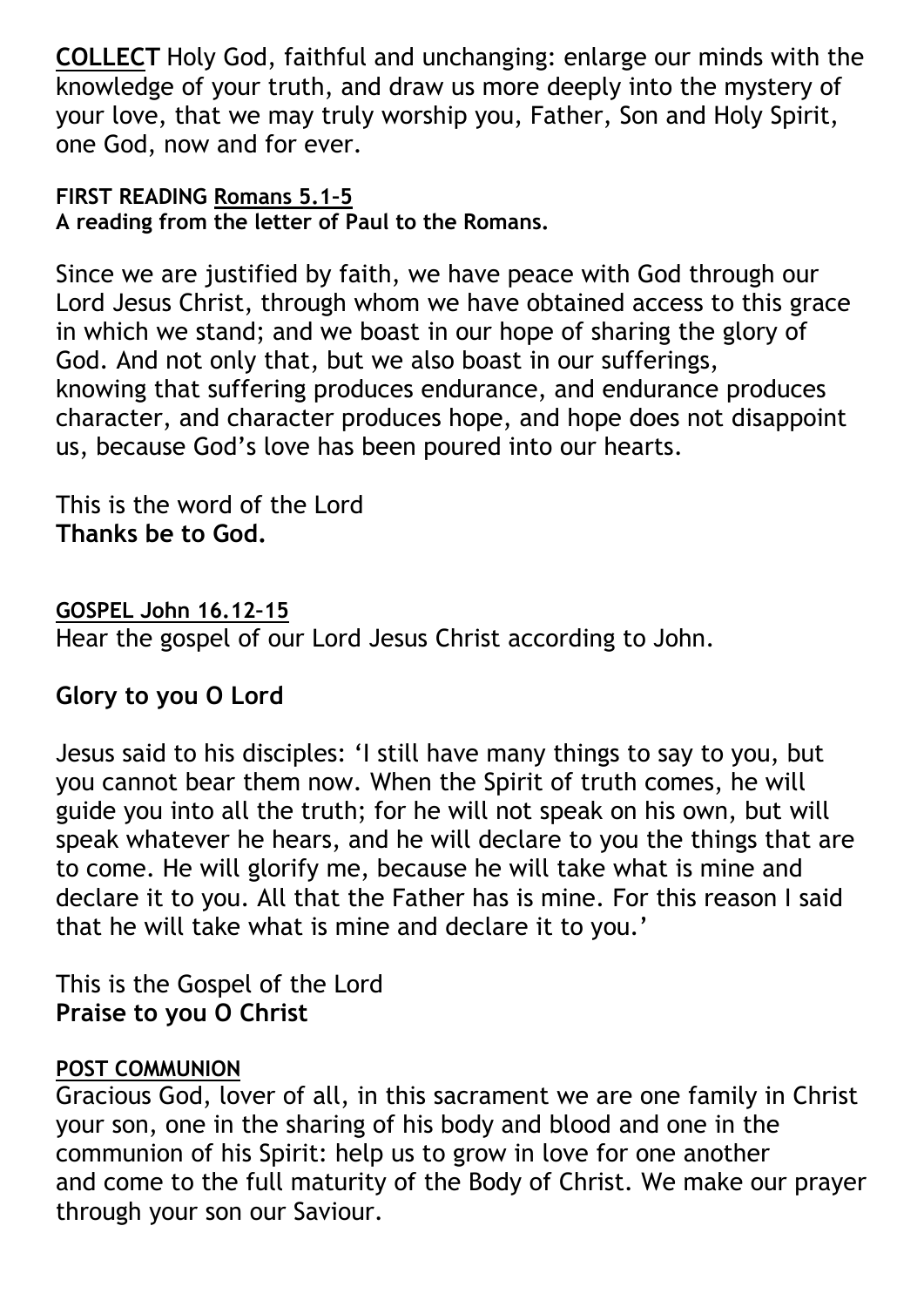**COLLECT** Holy God, faithful and unchanging: enlarge our minds with the knowledge of your truth, and draw us more deeply into the mystery of your love, that we may truly worship you, Father, Son and Holy Spirit, one God, now and for ever.

#### **FIRST READING Romans 5.1–5 A reading from the letter of Paul to the Romans.**

Since we are justified by faith, we have peace with God through our Lord Jesus Christ, through whom we have obtained access to this grace in which we stand; and we boast in our hope of sharing the glory of God. And not only that, but we also boast in our sufferings, knowing that suffering produces endurance, and endurance produces character, and character produces hope, and hope does not disappoint us, because God's love has been poured into our hearts.

This is the word of the Lord **Thanks be to God.**

**GOSPEL John 16.12–15** Hear the gospel of our Lord Jesus Christ according to John.

### **Glory to you O Lord**

Jesus said to his disciples: 'I still have many things to say to you, but you cannot bear them now. When the Spirit of truth comes, he will guide you into all the truth; for he will not speak on his own, but will speak whatever he hears, and he will declare to you the things that are to come. He will glorify me, because he will take what is mine and declare it to you. All that the Father has is mine. For this reason I said that he will take what is mine and declare it to you.'

This is the Gospel of the Lord **Praise to you O Christ**

#### **POST COMMUNION**

Gracious God, lover of all, in this sacrament we are one family in Christ your son, one in the sharing of his body and blood and one in the communion of his Spirit: help us to grow in love for one another and come to the full maturity of the Body of Christ. We make our prayer through your son our Saviour.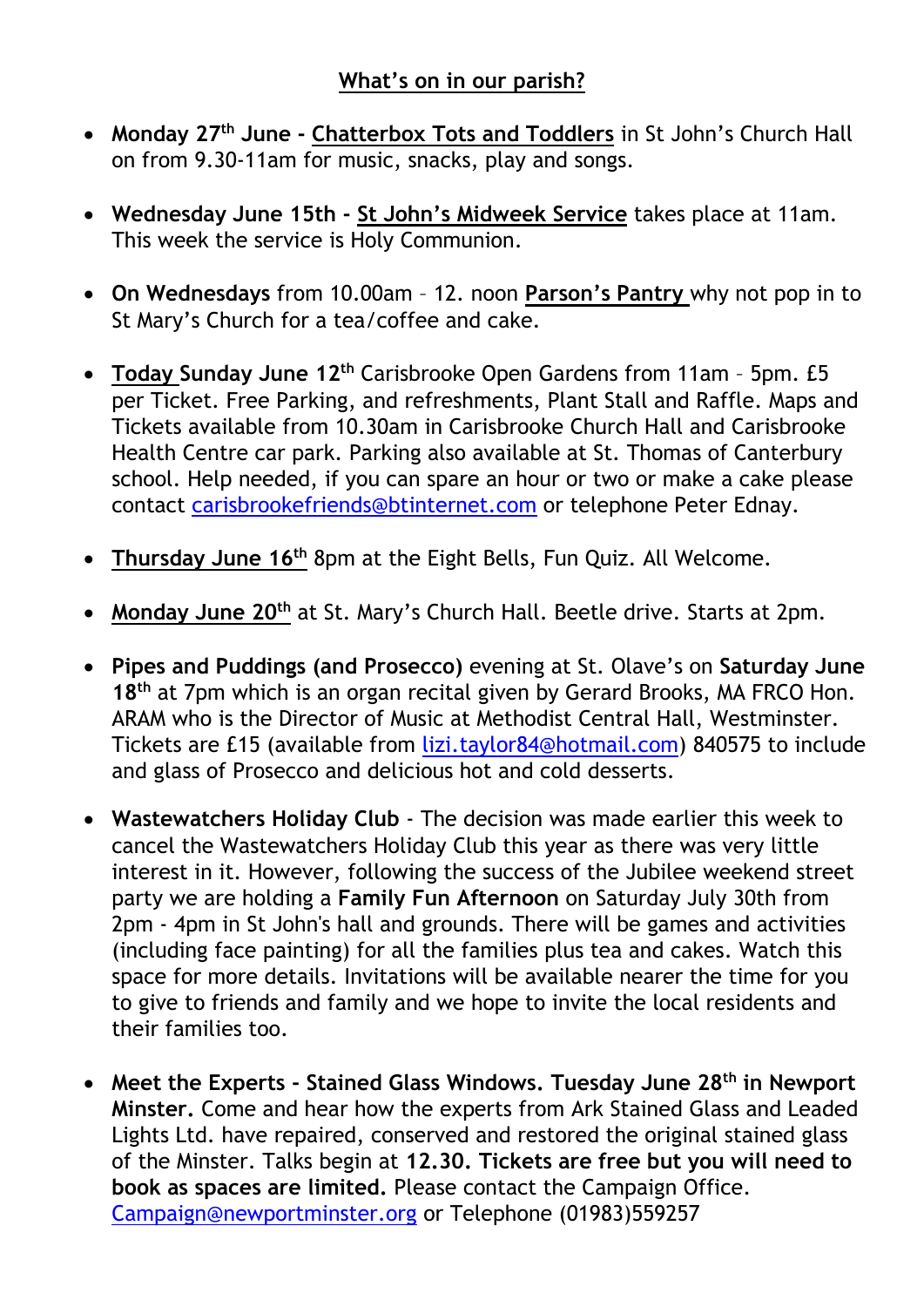- **Monday 27th June - Chatterbox Tots and Toddlers** in St John's Church Hall on from 9.30-11am for music, snacks, play and songs.
- **Wednesday June 15th - St John's Midweek Service** takes place at 11am. This week the service is Holy Communion.
- **On Wednesdays** from 10.00am 12. noon **Parson's Pantry** why not pop in to St Mary's Church for a tea/coffee and cake.
- **Today Sunday June 12th** Carisbrooke Open Gardens from 11am 5pm. £5 per Ticket. Free Parking, and refreshments, Plant Stall and Raffle. Maps and Tickets available from 10.30am in Carisbrooke Church Hall and Carisbrooke Health Centre car park. Parking also available at St. Thomas of Canterbury school. Help needed, if you can spare an hour or two or make a cake please contact [carisbrookefriends@btinternet.com](mailto:carisbrookefriends@btinternet.com) or telephone Peter Ednay.
- **Thursday June 16th** 8pm at the Eight Bells, Fun Quiz. All Welcome.
- **Monday June 20th** at St. Mary's Church Hall. Beetle drive. Starts at 2pm.
- **Pipes and Puddings (and Prosecco)** evening at St. Olave's on **Saturday June 18th** at 7pm which is an organ recital given by Gerard Brooks, MA FRCO Hon. ARAM who is the Director of Music at Methodist Central Hall, Westminster. Tickets are £15 (available from [lizi.taylor84@hotmail.com\)](mailto:lizi.taylor84@hotmail.com) 840575 to include and glass of Prosecco and delicious hot and cold desserts.
- **Wastewatchers Holiday Club** The decision was made earlier this week to cancel the Wastewatchers Holiday Club this year as there was very little interest in it. However, following the success of the Jubilee weekend street party we are holding a **Family Fun Afternoon** on Saturday July 30th from 2pm - 4pm in St John's hall and grounds. There will be games and activities (including face painting) for all the families plus tea and cakes. Watch this space for more details. Invitations will be available nearer the time for you to give to friends and family and we hope to invite the local residents and their families too.
- **Meet the Experts - Stained Glass Windows. Tuesday June 28th in Newport Minster.** Come and hear how the experts from Ark Stained Glass and Leaded Lights Ltd. have repaired, conserved and restored the original stained glass of the Minster. Talks begin at **12.30. Tickets are free but you will need to book as spaces are limited.** Please contact the Campaign Office. [Campaign@newportminster.org](mailto:Campaign@newportminster.org) or Telephone (01983)559257